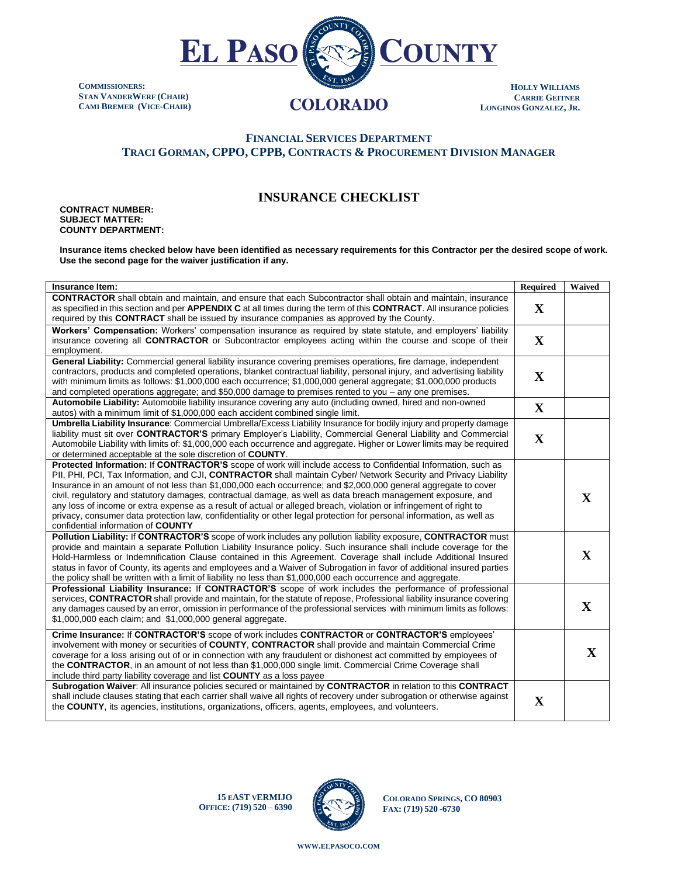

**COMMISSIONERS: STAN VANDERWERF (CHAIR) CAMI BREMER (VICE-CHAIR)**

## **HOLLY WILLIAMS CARRIE GEITNER LONGINOS GONZALEZ, JR.**

## **FINANCIAL SERVICES DEPARTMENT TRACI GORMAN, CPPO, CPPB, CONTRACTS & PROCUREMENT DIVISION MANAGER**

## **INSURANCE CHECKLIST**

**CONTRACT NUMBER: SUBJECT MATTER: COUNTY DEPARTMENT:**

**Insurance items checked below have been identified as necessary requirements for this Contractor per the desired scope of work. Use the second page for the waiver justification if any.** 

| Insurance Item:                                                                                                                                                                                                                                                                                                                                                                                                                                                                                                                                                                                                                                                                                                                                           | Required     | Waived       |
|-----------------------------------------------------------------------------------------------------------------------------------------------------------------------------------------------------------------------------------------------------------------------------------------------------------------------------------------------------------------------------------------------------------------------------------------------------------------------------------------------------------------------------------------------------------------------------------------------------------------------------------------------------------------------------------------------------------------------------------------------------------|--------------|--------------|
| <b>CONTRACTOR</b> shall obtain and maintain, and ensure that each Subcontractor shall obtain and maintain, insurance<br>as specified in this section and per APPENDIX C at all times during the term of this CONTRACT. All insurance policies<br>required by this CONTRACT shall be issued by insurance companies as approved by the County.                                                                                                                                                                                                                                                                                                                                                                                                              | $\mathbf X$  |              |
| Workers' Compensation: Workers' compensation insurance as required by state statute, and employers' liability<br>insurance covering all <b>CONTRACTOR</b> or Subcontractor employees acting within the course and scope of their<br>employment.                                                                                                                                                                                                                                                                                                                                                                                                                                                                                                           | $\mathbf{X}$ |              |
| General Liability: Commercial general liability insurance covering premises operations, fire damage, independent<br>contractors, products and completed operations, blanket contractual liability, personal injury, and advertising liability<br>with minimum limits as follows: \$1,000,000 each occurrence; \$1,000,000 general aggregate; \$1,000,000 products<br>and completed operations aggregate; and \$50,000 damage to premises rented to you – any one premises.                                                                                                                                                                                                                                                                                | $\mathbf X$  |              |
| Automobile Liability: Automobile liability insurance covering any auto (including owned, hired and non-owned<br>autos) with a minimum limit of \$1,000,000 each accident combined single limit.                                                                                                                                                                                                                                                                                                                                                                                                                                                                                                                                                           | $\mathbf X$  |              |
| Umbrella Liability Insurance: Commercial Umbrella/Excess Liability Insurance for bodily injury and property damage<br>liability must sit over CONTRACTOR'S primary Employer's Liability, Commercial General Liability and Commercial<br>Automobile Liability with limits of: \$1,000,000 each occurrence and aggregate. Higher or Lower limits may be required<br>or determined acceptable at the sole discretion of <b>COUNTY</b> .                                                                                                                                                                                                                                                                                                                      | $\mathbf X$  |              |
| Protected Information: If CONTRACTOR'S scope of work will include access to Confidential Information, such as<br>PII, PHI, PCI, Tax Information, and CJI, CONTRACTOR shall maintain Cyber/ Network Security and Privacy Liability<br>Insurance in an amount of not less than \$1,000,000 each occurrence; and \$2,000,000 general aggregate to cover<br>civil, regulatory and statutory damages, contractual damage, as well as data breach management exposure, and<br>any loss of income or extra expense as a result of actual or alleged breach, violation or infringement of right to<br>privacy, consumer data protection law, confidentiality or other legal protection for personal information, as well as<br>confidential information of COUNTY |              | $\mathbf X$  |
| Pollution Liability: If CONTRACTOR'S scope of work includes any pollution liability exposure, CONTRACTOR must<br>provide and maintain a separate Pollution Liability Insurance policy. Such insurance shall include coverage for the<br>Hold-Harmless or Indemnification Clause contained in this Agreement. Coverage shall include Additional Insured<br>status in favor of County, its agents and employees and a Waiver of Subrogation in favor of additional insured parties<br>the policy shall be written with a limit of liability no less than \$1,000,000 each occurrence and aggregate.                                                                                                                                                         |              | $\mathbf X$  |
| Professional Liability Insurance: If CONTRACTOR'S scope of work includes the performance of professional<br>services, CONTRACTOR shall provide and maintain, for the statute of repose, Professional liability insurance covering<br>any damages caused by an error, omission in performance of the professional services with minimum limits as follows:<br>\$1,000,000 each claim; and \$1,000,000 general aggregate.                                                                                                                                                                                                                                                                                                                                   |              | $\mathbf{X}$ |
| Crime Insurance: If CONTRACTOR'S scope of work includes CONTRACTOR or CONTRACTOR'S employees'<br>involvement with money or securities of COUNTY, CONTRACTOR shall provide and maintain Commercial Crime<br>coverage for a loss arising out of or in connection with any fraudulent or dishonest act committed by employees of<br>the CONTRACTOR, in an amount of not less than \$1,000,000 single limit. Commercial Crime Coverage shall<br>include third party liability coverage and list COUNTY as a loss payee                                                                                                                                                                                                                                        |              | $\mathbf X$  |
| Subrogation Waiver: All insurance policies secured or maintained by CONTRACTOR in relation to this CONTRACT<br>shall include clauses stating that each carrier shall waive all rights of recovery under subrogation or otherwise against<br>the <b>COUNTY</b> , its agencies, institutions, organizations, officers, agents, employees, and volunteers.                                                                                                                                                                                                                                                                                                                                                                                                   | $\mathbf X$  |              |

**15 EAST VERMIJO OFFICE: (719) 520 – 6390**



**COLORADO SPRINGS, CO 80903 FAX: (719) 520 -6730**

**WWW.[ELPASOCO](file:///C:/Users/pcdfields/AppData/Local/Microsoft/Windows/INetCache/Content.Outlook/OA1LDP44/www.elpasoco.com).COM**